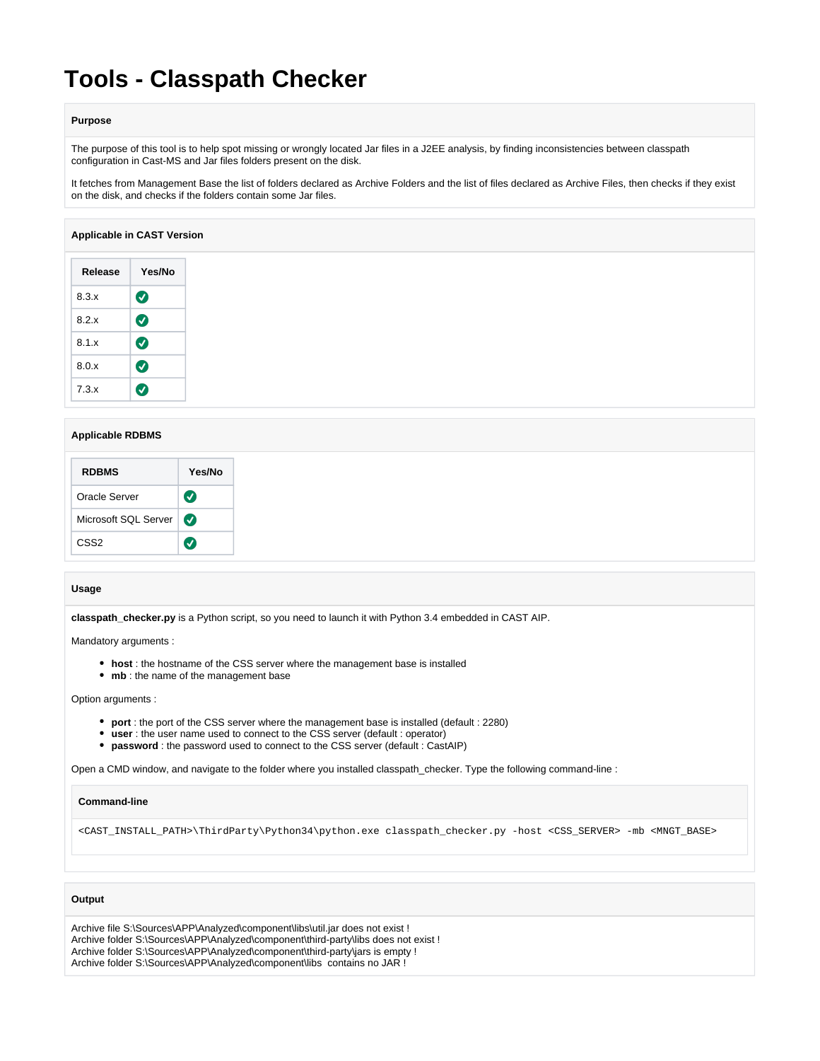# **Tools - Classpath Checker**

#### **Purpose**

The purpose of this tool is to help spot missing or wrongly located Jar files in a J2EE analysis, by finding inconsistencies between classpath configuration in Cast-MS and Jar files folders present on the disk.

It fetches from Management Base the list of folders declared as Archive Folders and the list of files declared as Archive Files, then checks if they exist on the disk, and checks if the folders contain some Jar files.

## **Applicable in CAST Version**

| Release | Yes/No                |
|---------|-----------------------|
| 8.3.x   | $\bullet$             |
| 8.2.x   | $\boldsymbol{\Omega}$ |
| 8.1.x   | $\boldsymbol{\sigma}$ |
| 8.0x    | $\boldsymbol{\sigma}$ |
| 7.3.x   |                       |

# **Applicable RDBMS**

| <b>RDBMS</b>         | Yes/No                |
|----------------------|-----------------------|
| Oracle Server        | $\bm{\bm{\omega}}$    |
| Microsoft SQL Server | $\boldsymbol{\sigma}$ |
| CSS <sub>2</sub>     |                       |

#### **Usage**

**classpath\_checker.py** is a Python script, so you need to launch it with Python 3.4 embedded in CAST AIP.

Mandatory arguments :

- **host** : the hostname of the CSS server where the management base is installed
- mb : the name of the management base

#### Option arguments :

- **port** : the port of the CSS server where the management base is installed (default : 2280)
- **user** : the user name used to connect to the CSS server (default : operator)
- **password** : the password used to connect to the CSS server (default : CastAIP)

Open a CMD window, and navigate to the folder where you installed classpath\_checker. Type the following command-line :

## **Command-line**

<CAST\_INSTALL\_PATH>\ThirdParty\Python34\python.exe classpath\_checker.py -host <CSS\_SERVER> -mb <MNGT\_BASE>

## **Output**

Archive file S:\Sources\APP\Analyzed\component\libs\util.jar does not exist ! Archive folder S:\Sources\APP\Analyzed\component\third-party\libs does not exist ! Archive folder S:\Sources\APP\Analyzed\component\third-party\jars is empty ! Archive folder S:\Sources\APP\Analyzed\component\libs contains no JAR !